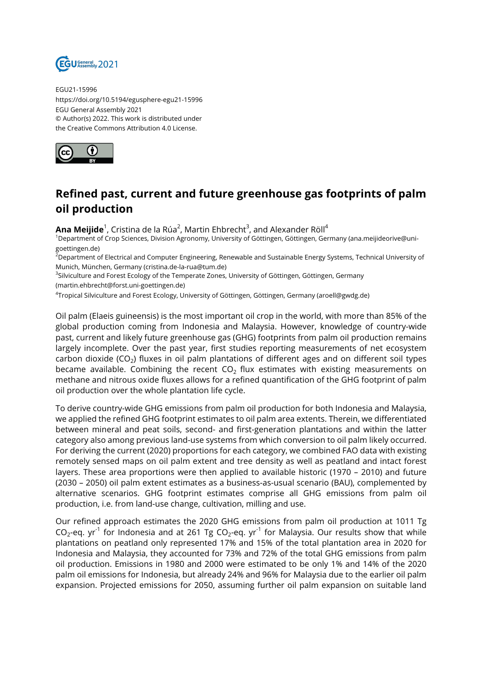

EGU21-15996 https://doi.org/10.5194/egusphere-egu21-15996 EGU General Assembly 2021 © Author(s) 2022. This work is distributed under the Creative Commons Attribution 4.0 License.



## **Refined past, current and future greenhouse gas footprints of palm oil production**

**Ana Meijide**<sup>1</sup>, Cristina de la Rúa<sup>2</sup>, Martin Ehbrecht<sup>3</sup>, and Alexander Röll<sup>4</sup>

<sup>1</sup>Department of Crop Sciences, Division Agronomy, University of Göttingen, Göttingen, Germany (ana.meijideorive@unigoettingen.de)

 $^2$ Department of Electrical and Computer Engineering, Renewable and Sustainable Energy Systems, Technical University of Munich, München, Germany (cristina.de-la-rua@tum.de)

 $^3$ Silviculture and Forest Ecology of the Temperate Zones, University of Göttingen, Göttingen, Germany (martin.ehbrecht@forst.uni-goettingen.de)

4 Tropical Silviculture and Forest Ecology, University of Göttingen, Göttingen, Germany (aroell@gwdg.de)

Oil palm (Elaeis guineensis) is the most important oil crop in the world, with more than 85% of the global production coming from Indonesia and Malaysia. However, knowledge of country-wide past, current and likely future greenhouse gas (GHG) footprints from palm oil production remains largely incomplete. Over the past year, first studies reporting measurements of net ecosystem carbon dioxide (CO<sub>2</sub>) fluxes in oil palm plantations of different ages and on different soil types became available. Combining the recent CO $_2$  flux estimates with existing measurements on methane and nitrous oxide fluxes allows for a refined quantification of the GHG footprint of palm oil production over the whole plantation life cycle.

To derive country-wide GHG emissions from palm oil production for both Indonesia and Malaysia, we applied the refined GHG footprint estimates to oil palm area extents. Therein, we differentiated between mineral and peat soils, second- and first-generation plantations and within the latter category also among previous land-use systems from which conversion to oil palm likely occurred. For deriving the current (2020) proportions for each category, we combined FAO data with existing remotely sensed maps on oil palm extent and tree density as well as peatland and intact forest layers. These area proportions were then applied to available historic (1970 – 2010) and future (2030 – 2050) oil palm extent estimates as a business-as-usual scenario (BAU), complemented by alternative scenarios. GHG footprint estimates comprise all GHG emissions from palm oil production, i.e. from land-use change, cultivation, milling and use.

Our refined approach estimates the 2020 GHG emissions from palm oil production at 1011 Tg CO<sub>2</sub>-eq. yr<sup>-1</sup> for Indonesia and at 261 Tg CO<sub>2</sub>-eq. yr<sup>-1</sup> for Malaysia. Our results show that while plantations on peatland only represented 17% and 15% of the total plantation area in 2020 for Indonesia and Malaysia, they accounted for 73% and 72% of the total GHG emissions from palm oil production. Emissions in 1980 and 2000 were estimated to be only 1% and 14% of the 2020 palm oil emissions for Indonesia, but already 24% and 96% for Malaysia due to the earlier oil palm expansion. Projected emissions for 2050, assuming further oil palm expansion on suitable land